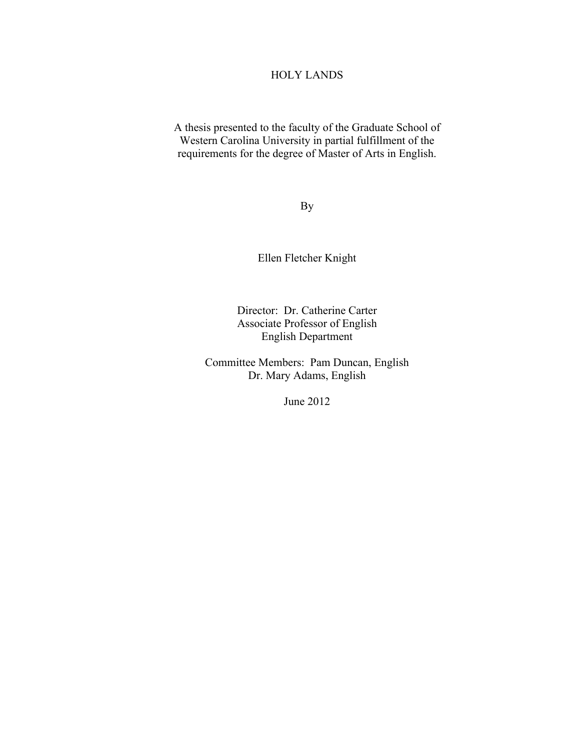## HOLY LANDS

A thesis presented to the faculty of the Graduate School of Western Carolina University in partial fulfillment of the requirements for the degree of Master of Arts in English.

By

Ellen Fletcher Knight

Director: Dr. Catherine Carter Associate Professor of English English Department

Committee Members: Pam Duncan, English Dr. Mary Adams, English

June 2012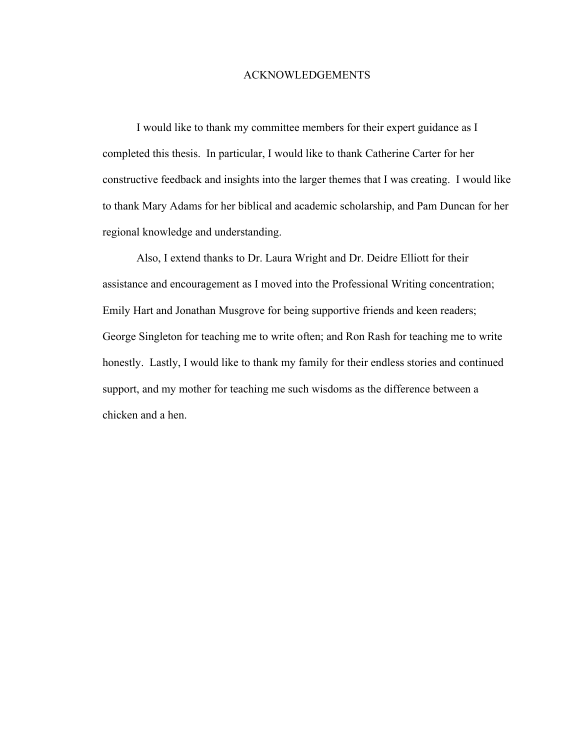#### ACKNOWLEDGEMENTS

I would like to thank my committee members for their expert guidance as I completed this thesis. In particular, I would like to thank Catherine Carter for her constructive feedback and insights into the larger themes that I was creating. I would like to thank Mary Adams for her biblical and academic scholarship, and Pam Duncan for her regional knowledge and understanding.

Also, I extend thanks to Dr. Laura Wright and Dr. Deidre Elliott for their assistance and encouragement as I moved into the Professional Writing concentration; Emily Hart and Jonathan Musgrove for being supportive friends and keen readers; George Singleton for teaching me to write often; and Ron Rash for teaching me to write honestly. Lastly, I would like to thank my family for their endless stories and continued support, and my mother for teaching me such wisdoms as the difference between a chicken and a hen.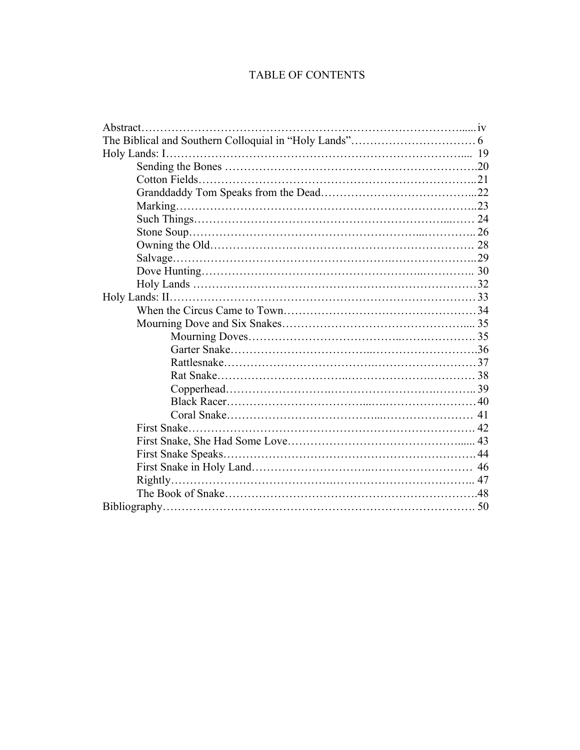# TABLE OF CONTENTS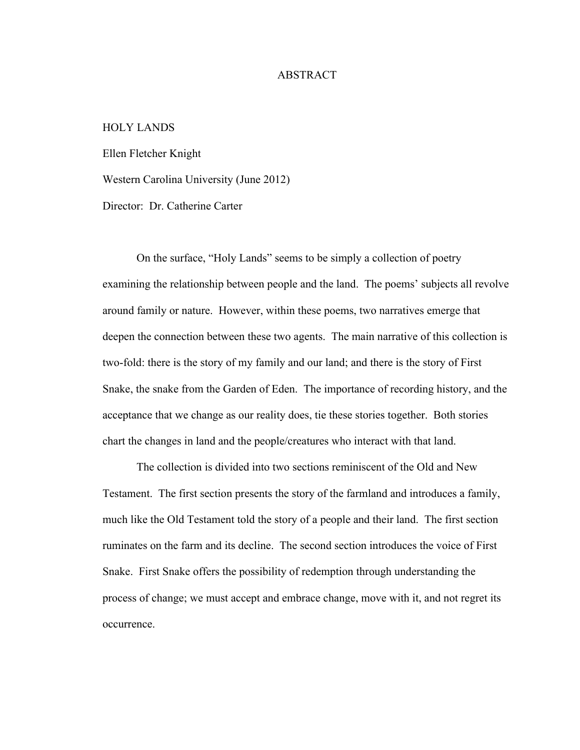#### ABSTRACT

#### HOLY LANDS

Ellen Fletcher Knight

Western Carolina University (June 2012)

Director: Dr. Catherine Carter

On the surface, "Holy Lands" seems to be simply a collection of poetry examining the relationship between people and the land. The poems' subjects all revolve around family or nature. However, within these poems, two narratives emerge that deepen the connection between these two agents. The main narrative of this collection is two-fold: there is the story of my family and our land; and there is the story of First Snake, the snake from the Garden of Eden. The importance of recording history, and the acceptance that we change as our reality does, tie these stories together. Both stories chart the changes in land and the people/creatures who interact with that land.

The collection is divided into two sections reminiscent of the Old and New Testament. The first section presents the story of the farmland and introduces a family, much like the Old Testament told the story of a people and their land. The first section ruminates on the farm and its decline. The second section introduces the voice of First Snake. First Snake offers the possibility of redemption through understanding the process of change; we must accept and embrace change, move with it, and not regret its occurrence.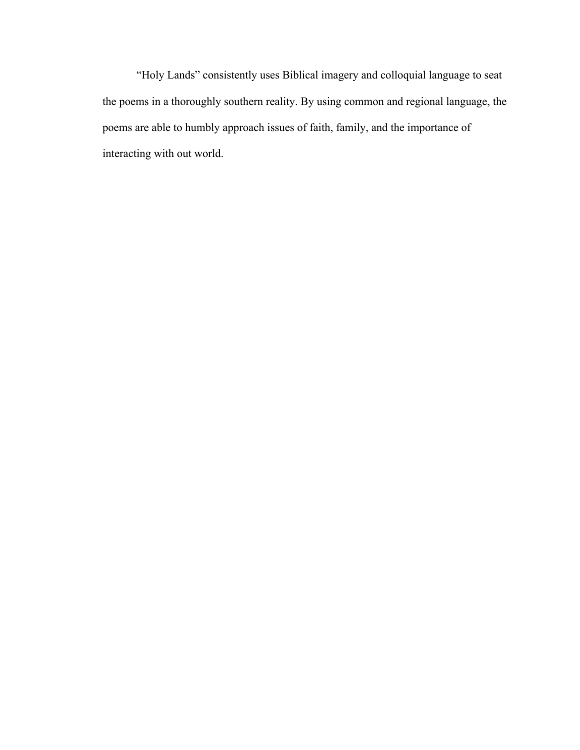"Holy Lands" consistently uses Biblical imagery and colloquial language to seat the poems in a thoroughly southern reality. By using common and regional language, the poems are able to humbly approach issues of faith, family, and the importance of interacting with out world.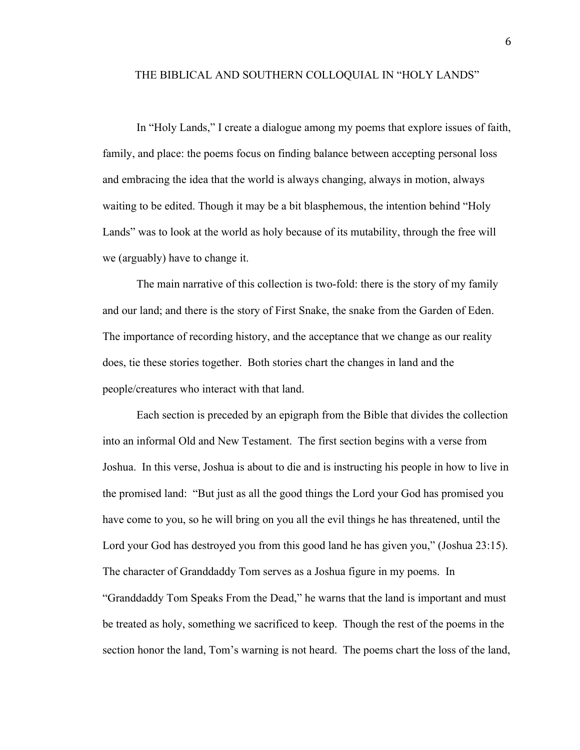#### THE BIBLICAL AND SOUTHERN COLLOQUIAL IN "HOLY LANDS"

In "Holy Lands," I create a dialogue among my poems that explore issues of faith, family, and place: the poems focus on finding balance between accepting personal loss and embracing the idea that the world is always changing, always in motion, always waiting to be edited. Though it may be a bit blasphemous, the intention behind "Holy Lands" was to look at the world as holy because of its mutability, through the free will we (arguably) have to change it.

The main narrative of this collection is two-fold: there is the story of my family and our land; and there is the story of First Snake, the snake from the Garden of Eden. The importance of recording history, and the acceptance that we change as our reality does, tie these stories together. Both stories chart the changes in land and the people/creatures who interact with that land.

Each section is preceded by an epigraph from the Bible that divides the collection into an informal Old and New Testament. The first section begins with a verse from Joshua. In this verse, Joshua is about to die and is instructing his people in how to live in the promised land: "But just as all the good things the Lord your God has promised you have come to you, so he will bring on you all the evil things he has threatened, until the Lord your God has destroyed you from this good land he has given you," (Joshua 23:15). The character of Granddaddy Tom serves as a Joshua figure in my poems. In "Granddaddy Tom Speaks From the Dead," he warns that the land is important and must be treated as holy, something we sacrificed to keep. Though the rest of the poems in the section honor the land, Tom's warning is not heard. The poems chart the loss of the land,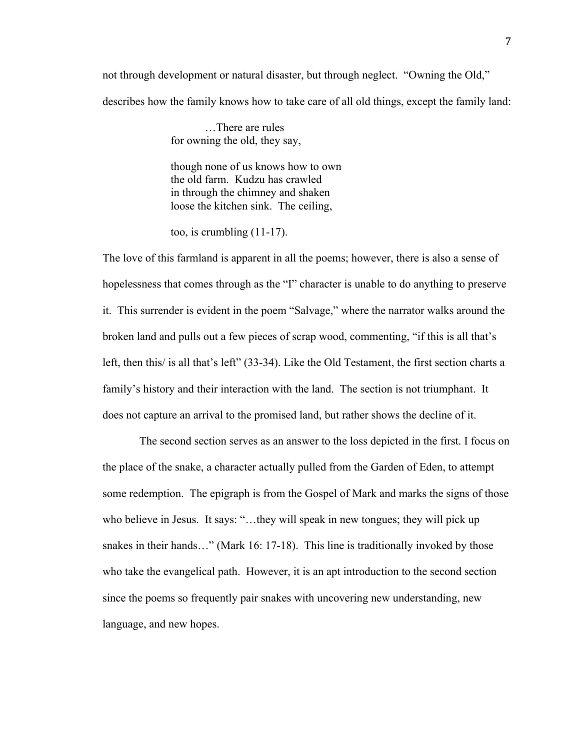not through development or natural disaster, but through neglect. "Owning the Old," describes how the family knows how to take care of all old things, except the family land:

> …There are rules for owning the old, they say,

though none of us knows how to own the old farm. Kudzu has crawled in through the chimney and shaken loose the kitchen sink. The ceiling,

too, is crumbling (11-17).

The love of this farmland is apparent in all the poems; however, there is also a sense of hopelessness that comes through as the "I" character is unable to do anything to preserve it. This surrender is evident in the poem "Salvage," where the narrator walks around the broken land and pulls out a few pieces of scrap wood, commenting, "if this is all that's left, then this/ is all that's left" (33-34). Like the Old Testament, the first section charts a family's history and their interaction with the land. The section is not triumphant. It does not capture an arrival to the promised land, but rather shows the decline of it.

The second section serves as an answer to the loss depicted in the first. I focus on the place of the snake, a character actually pulled from the Garden of Eden, to attempt some redemption. The epigraph is from the Gospel of Mark and marks the signs of those who believe in Jesus. It says: "...they will speak in new tongues; they will pick up snakes in their hands…" (Mark 16: 17-18). This line is traditionally invoked by those who take the evangelical path. However, it is an apt introduction to the second section since the poems so frequently pair snakes with uncovering new understanding, new language, and new hopes.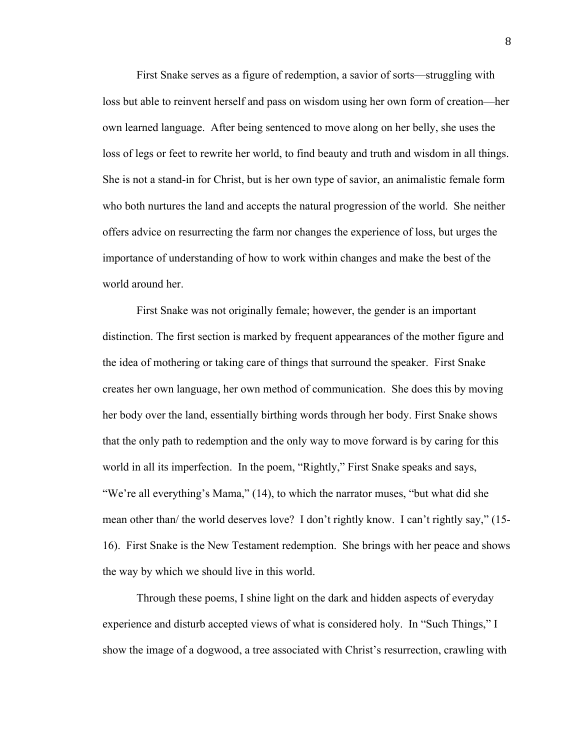First Snake serves as a figure of redemption, a savior of sorts—struggling with loss but able to reinvent herself and pass on wisdom using her own form of creation—her own learned language. After being sentenced to move along on her belly, she uses the loss of legs or feet to rewrite her world, to find beauty and truth and wisdom in all things. She is not a stand-in for Christ, but is her own type of savior, an animalistic female form who both nurtures the land and accepts the natural progression of the world. She neither offers advice on resurrecting the farm nor changes the experience of loss, but urges the importance of understanding of how to work within changes and make the best of the world around her.

First Snake was not originally female; however, the gender is an important distinction. The first section is marked by frequent appearances of the mother figure and the idea of mothering or taking care of things that surround the speaker. First Snake creates her own language, her own method of communication. She does this by moving her body over the land, essentially birthing words through her body. First Snake shows that the only path to redemption and the only way to move forward is by caring for this world in all its imperfection. In the poem, "Rightly," First Snake speaks and says, "We're all everything's Mama," (14), to which the narrator muses, "but what did she mean other than/ the world deserves love? I don't rightly know. I can't rightly say," (15- 16). First Snake is the New Testament redemption. She brings with her peace and shows the way by which we should live in this world.

Through these poems, I shine light on the dark and hidden aspects of everyday experience and disturb accepted views of what is considered holy. In "Such Things," I show the image of a dogwood, a tree associated with Christ's resurrection, crawling with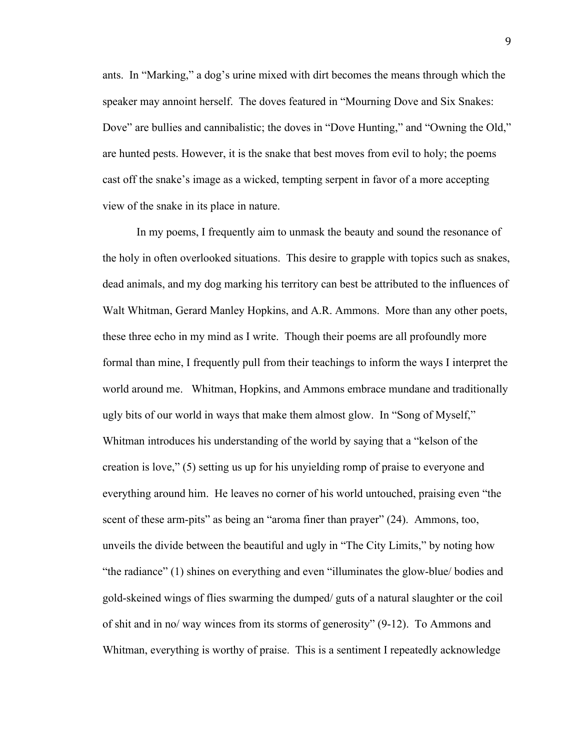ants. In "Marking," a dog's urine mixed with dirt becomes the means through which the speaker may annoint herself. The doves featured in "Mourning Dove and Six Snakes: Dove" are bullies and cannibalistic; the doves in "Dove Hunting," and "Owning the Old," are hunted pests. However, it is the snake that best moves from evil to holy; the poems cast off the snake's image as a wicked, tempting serpent in favor of a more accepting view of the snake in its place in nature.

In my poems, I frequently aim to unmask the beauty and sound the resonance of the holy in often overlooked situations. This desire to grapple with topics such as snakes, dead animals, and my dog marking his territory can best be attributed to the influences of Walt Whitman, Gerard Manley Hopkins, and A.R. Ammons. More than any other poets, these three echo in my mind as I write. Though their poems are all profoundly more formal than mine, I frequently pull from their teachings to inform the ways I interpret the world around me. Whitman, Hopkins, and Ammons embrace mundane and traditionally ugly bits of our world in ways that make them almost glow. In "Song of Myself," Whitman introduces his understanding of the world by saying that a "kelson of the creation is love," (5) setting us up for his unyielding romp of praise to everyone and everything around him. He leaves no corner of his world untouched, praising even "the scent of these arm-pits" as being an "aroma finer than prayer" (24). Ammons, too, unveils the divide between the beautiful and ugly in "The City Limits," by noting how "the radiance" (1) shines on everything and even "illuminates the glow-blue/ bodies and gold-skeined wings of flies swarming the dumped/ guts of a natural slaughter or the coil of shit and in no/ way winces from its storms of generosity" (9-12). To Ammons and Whitman, everything is worthy of praise. This is a sentiment I repeatedly acknowledge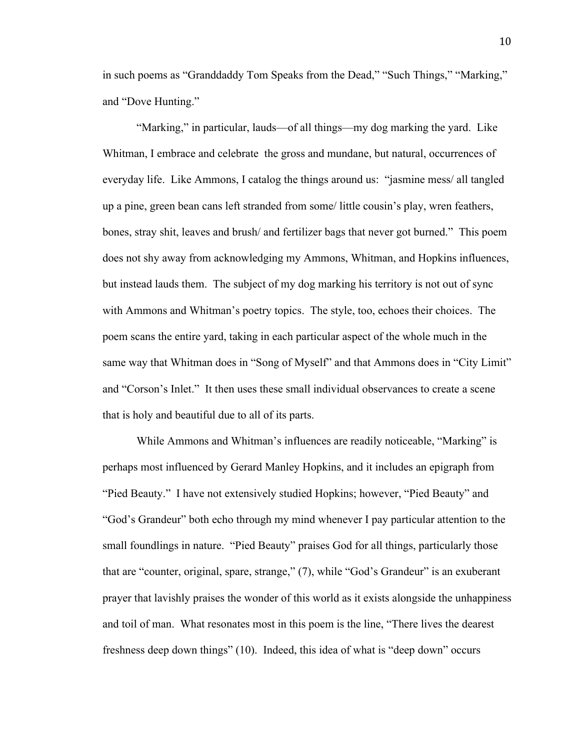in such poems as "Granddaddy Tom Speaks from the Dead," "Such Things," "Marking," and "Dove Hunting."

"Marking," in particular, lauds—of all things—my dog marking the yard. Like Whitman, I embrace and celebrate the gross and mundane, but natural, occurrences of everyday life. Like Ammons, I catalog the things around us: "jasmine mess/ all tangled up a pine, green bean cans left stranded from some/ little cousin's play, wren feathers, bones, stray shit, leaves and brush/ and fertilizer bags that never got burned." This poem does not shy away from acknowledging my Ammons, Whitman, and Hopkins influences, but instead lauds them. The subject of my dog marking his territory is not out of sync with Ammons and Whitman's poetry topics. The style, too, echoes their choices. The poem scans the entire yard, taking in each particular aspect of the whole much in the same way that Whitman does in "Song of Myself" and that Ammons does in "City Limit" and "Corson's Inlet." It then uses these small individual observances to create a scene that is holy and beautiful due to all of its parts.

While Ammons and Whitman's influences are readily noticeable, "Marking" is perhaps most influenced by Gerard Manley Hopkins, and it includes an epigraph from "Pied Beauty." I have not extensively studied Hopkins; however, "Pied Beauty" and "God's Grandeur" both echo through my mind whenever I pay particular attention to the small foundlings in nature. "Pied Beauty" praises God for all things, particularly those that are "counter, original, spare, strange," (7), while "God's Grandeur" is an exuberant prayer that lavishly praises the wonder of this world as it exists alongside the unhappiness and toil of man. What resonates most in this poem is the line, "There lives the dearest freshness deep down things" (10). Indeed, this idea of what is "deep down" occurs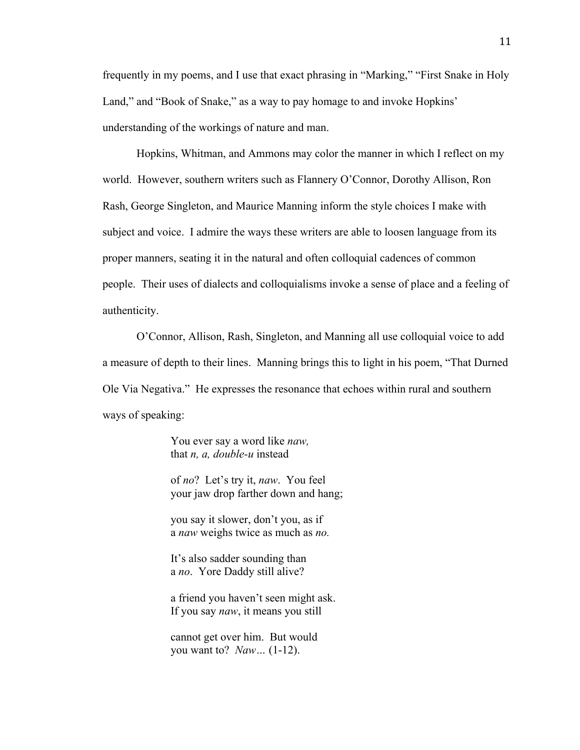frequently in my poems, and I use that exact phrasing in "Marking," "First Snake in Holy Land," and "Book of Snake," as a way to pay homage to and invoke Hopkins' understanding of the workings of nature and man.

Hopkins, Whitman, and Ammons may color the manner in which I reflect on my world. However, southern writers such as Flannery O'Connor, Dorothy Allison, Ron Rash, George Singleton, and Maurice Manning inform the style choices I make with subject and voice. I admire the ways these writers are able to loosen language from its proper manners, seating it in the natural and often colloquial cadences of common people. Their uses of dialects and colloquialisms invoke a sense of place and a feeling of authenticity.

O'Connor, Allison, Rash, Singleton, and Manning all use colloquial voice to add a measure of depth to their lines. Manning brings this to light in his poem, "That Durned Ole Via Negativa." He expresses the resonance that echoes within rural and southern ways of speaking:

> You ever say a word like *naw,* that *n, a, double-u* instead

of *no*? Let's try it, *naw*. You feel your jaw drop farther down and hang;

you say it slower, don't you, as if a *naw* weighs twice as much as *no.*

It's also sadder sounding than a *no*. Yore Daddy still alive?

a friend you haven't seen might ask. If you say *naw*, it means you still

cannot get over him. But would you want to? *Naw…* (1-12).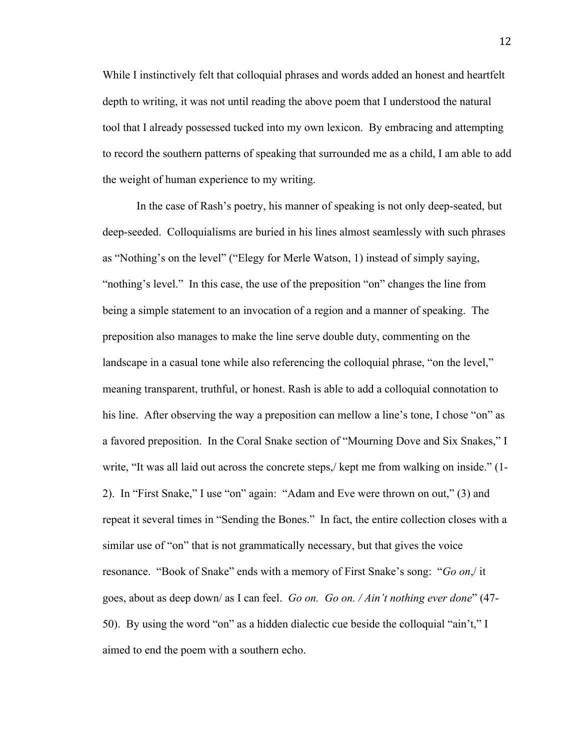While I instinctively felt that colloquial phrases and words added an honest and heartfelt depth to writing, it was not until reading the above poem that I understood the natural tool that I already possessed tucked into my own lexicon. By embracing and attempting to record the southern patterns of speaking that surrounded me as a child, I am able to add the weight of human experience to my writing.

In the case of Rash's poetry, his manner of speaking is not only deep-seated, but deep-seeded. Colloquialisms are buried in his lines almost seamlessly with such phrases as "Nothing's on the level" ("Elegy for Merle Watson, 1) instead of simply saying, "nothing's level." In this case, the use of the preposition "on" changes the line from being a simple statement to an invocation of a region and a manner of speaking. The preposition also manages to make the line serve double duty, commenting on the landscape in a casual tone while also referencing the colloquial phrase, "on the level," meaning transparent, truthful, or honest. Rash is able to add a colloquial connotation to his line. After observing the way a preposition can mellow a line's tone, I chose "on" as a favored preposition. In the Coral Snake section of "Mourning Dove and Six Snakes," I write, "It was all laid out across the concrete steps,/ kept me from walking on inside." (1- 2). In "First Snake," I use "on" again: "Adam and Eve were thrown on out," (3) and repeat it several times in "Sending the Bones." In fact, the entire collection closes with a similar use of "on" that is not grammatically necessary, but that gives the voice resonance. "Book of Snake" ends with a memory of First Snake's song: "*Go on*,/ it goes, about as deep down/ as I can feel. *Go on. Go on. / Ain't nothing ever done*" (47- 50). By using the word "on" as a hidden dialectic cue beside the colloquial "ain't," I aimed to end the poem with a southern echo.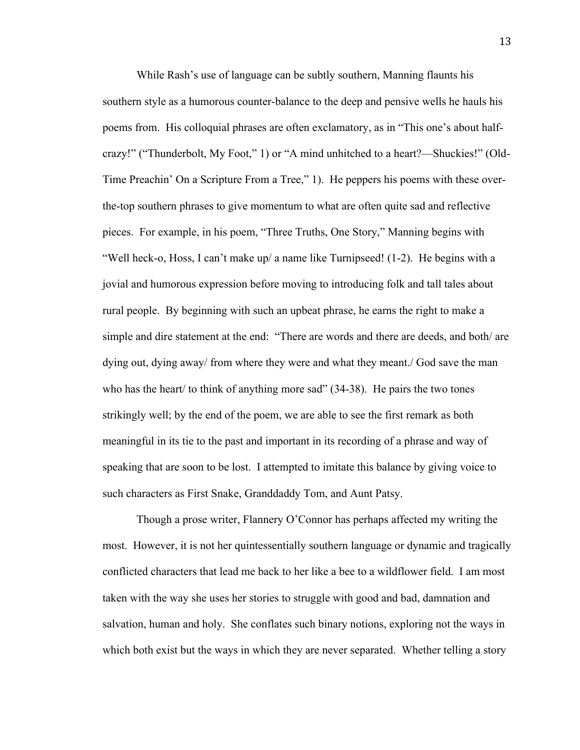While Rash's use of language can be subtly southern, Manning flaunts his southern style as a humorous counter-balance to the deep and pensive wells he hauls his poems from. His colloquial phrases are often exclamatory, as in "This one's about halfcrazy!" ("Thunderbolt, My Foot," 1) or "A mind unhitched to a heart?—Shuckies!" (Old-Time Preachin' On a Scripture From a Tree," 1). He peppers his poems with these overthe-top southern phrases to give momentum to what are often quite sad and reflective pieces. For example, in his poem, "Three Truths, One Story," Manning begins with "Well heck-o, Hoss, I can't make up/ a name like Turnipseed!  $(1-2)$ . He begins with a jovial and humorous expression before moving to introducing folk and tall tales about rural people. By beginning with such an upbeat phrase, he earns the right to make a simple and dire statement at the end: "There are words and there are deeds, and both/ are dying out, dying away/ from where they were and what they meant./ God save the man who has the heart/ to think of anything more sad" (34-38). He pairs the two tones strikingly well; by the end of the poem, we are able to see the first remark as both meaningful in its tie to the past and important in its recording of a phrase and way of speaking that are soon to be lost. I attempted to imitate this balance by giving voice to such characters as First Snake, Granddaddy Tom, and Aunt Patsy.

Though a prose writer, Flannery O'Connor has perhaps affected my writing the most. However, it is not her quintessentially southern language or dynamic and tragically conflicted characters that lead me back to her like a bee to a wildflower field. I am most taken with the way she uses her stories to struggle with good and bad, damnation and salvation, human and holy. She conflates such binary notions, exploring not the ways in which both exist but the ways in which they are never separated. Whether telling a story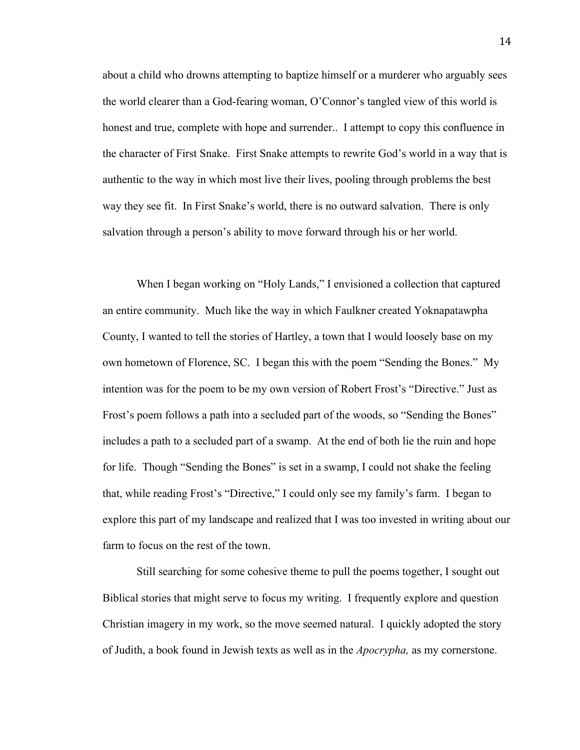about a child who drowns attempting to baptize himself or a murderer who arguably sees the world clearer than a God-fearing woman, O'Connor's tangled view of this world is honest and true, complete with hope and surrender.. I attempt to copy this confluence in the character of First Snake. First Snake attempts to rewrite God's world in a way that is authentic to the way in which most live their lives, pooling through problems the best way they see fit. In First Snake's world, there is no outward salvation. There is only salvation through a person's ability to move forward through his or her world.

When I began working on "Holy Lands," I envisioned a collection that captured an entire community. Much like the way in which Faulkner created Yoknapatawpha County, I wanted to tell the stories of Hartley, a town that I would loosely base on my own hometown of Florence, SC. I began this with the poem "Sending the Bones." My intention was for the poem to be my own version of Robert Frost's "Directive." Just as Frost's poem follows a path into a secluded part of the woods, so "Sending the Bones" includes a path to a secluded part of a swamp. At the end of both lie the ruin and hope for life. Though "Sending the Bones" is set in a swamp, I could not shake the feeling that, while reading Frost's "Directive," I could only see my family's farm. I began to explore this part of my landscape and realized that I was too invested in writing about our farm to focus on the rest of the town.

Still searching for some cohesive theme to pull the poems together, I sought out Biblical stories that might serve to focus my writing. I frequently explore and question Christian imagery in my work, so the move seemed natural. I quickly adopted the story of Judith, a book found in Jewish texts as well as in the *Apocrypha,* as my cornerstone.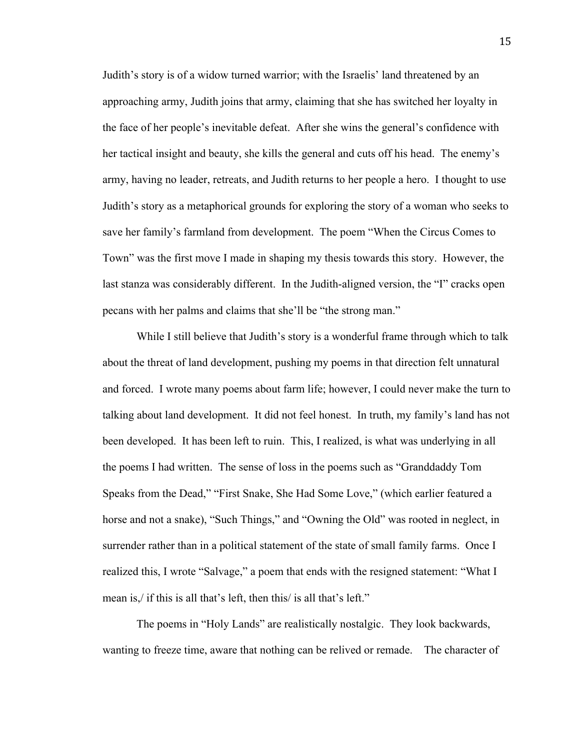Judith's story is of a widow turned warrior; with the Israelis' land threatened by an approaching army, Judith joins that army, claiming that she has switched her loyalty in the face of her people's inevitable defeat. After she wins the general's confidence with her tactical insight and beauty, she kills the general and cuts off his head. The enemy's army, having no leader, retreats, and Judith returns to her people a hero. I thought to use Judith's story as a metaphorical grounds for exploring the story of a woman who seeks to save her family's farmland from development. The poem "When the Circus Comes to Town" was the first move I made in shaping my thesis towards this story. However, the last stanza was considerably different. In the Judith-aligned version, the "I" cracks open pecans with her palms and claims that she'll be "the strong man."

While I still believe that Judith's story is a wonderful frame through which to talk about the threat of land development, pushing my poems in that direction felt unnatural and forced. I wrote many poems about farm life; however, I could never make the turn to talking about land development. It did not feel honest. In truth, my family's land has not been developed. It has been left to ruin. This, I realized, is what was underlying in all the poems I had written. The sense of loss in the poems such as "Granddaddy Tom Speaks from the Dead," "First Snake, She Had Some Love," (which earlier featured a horse and not a snake), "Such Things," and "Owning the Old" was rooted in neglect, in surrender rather than in a political statement of the state of small family farms. Once I realized this, I wrote "Salvage," a poem that ends with the resigned statement: "What I mean is,/ if this is all that's left, then this/ is all that's left."

The poems in "Holy Lands" are realistically nostalgic. They look backwards, wanting to freeze time, aware that nothing can be relived or remade. The character of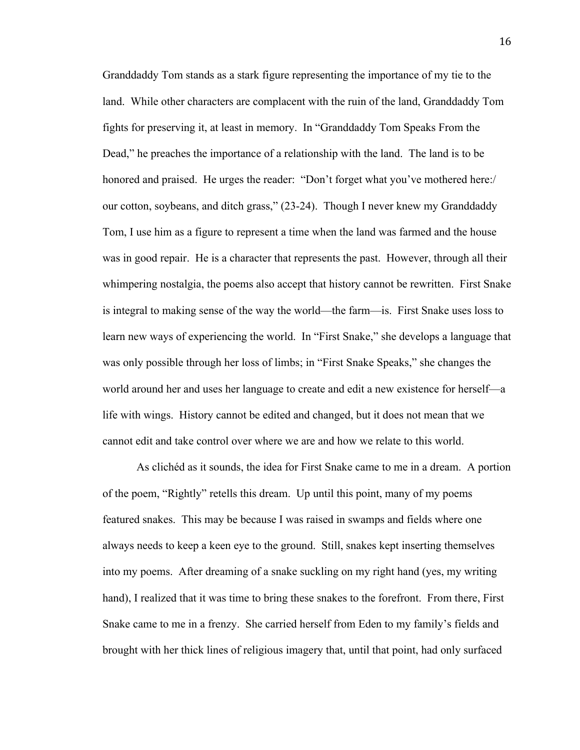Granddaddy Tom stands as a stark figure representing the importance of my tie to the land. While other characters are complacent with the ruin of the land, Granddaddy Tom fights for preserving it, at least in memory. In "Granddaddy Tom Speaks From the Dead," he preaches the importance of a relationship with the land. The land is to be honored and praised. He urges the reader: "Don't forget what you've mothered here:/ our cotton, soybeans, and ditch grass," (23-24). Though I never knew my Granddaddy Tom, I use him as a figure to represent a time when the land was farmed and the house was in good repair. He is a character that represents the past. However, through all their whimpering nostalgia, the poems also accept that history cannot be rewritten. First Snake is integral to making sense of the way the world—the farm—is. First Snake uses loss to learn new ways of experiencing the world. In "First Snake," she develops a language that was only possible through her loss of limbs; in "First Snake Speaks," she changes the world around her and uses her language to create and edit a new existence for herself—a life with wings. History cannot be edited and changed, but it does not mean that we cannot edit and take control over where we are and how we relate to this world.

As clichéd as it sounds, the idea for First Snake came to me in a dream. A portion of the poem, "Rightly" retells this dream. Up until this point, many of my poems featured snakes. This may be because I was raised in swamps and fields where one always needs to keep a keen eye to the ground. Still, snakes kept inserting themselves into my poems. After dreaming of a snake suckling on my right hand (yes, my writing hand), I realized that it was time to bring these snakes to the forefront. From there, First Snake came to me in a frenzy. She carried herself from Eden to my family's fields and brought with her thick lines of religious imagery that, until that point, had only surfaced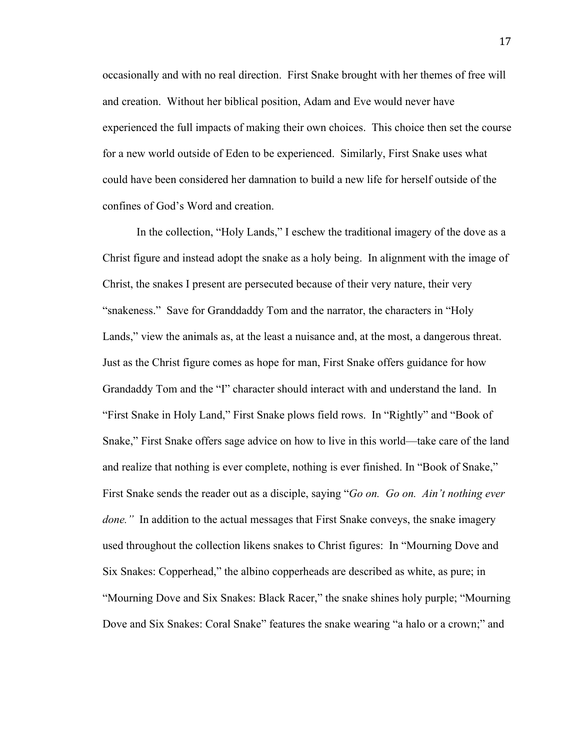occasionally and with no real direction. First Snake brought with her themes of free will and creation. Without her biblical position, Adam and Eve would never have experienced the full impacts of making their own choices. This choice then set the course for a new world outside of Eden to be experienced. Similarly, First Snake uses what could have been considered her damnation to build a new life for herself outside of the confines of God's Word and creation.

In the collection, "Holy Lands," I eschew the traditional imagery of the dove as a Christ figure and instead adopt the snake as a holy being. In alignment with the image of Christ, the snakes I present are persecuted because of their very nature, their very "snakeness." Save for Granddaddy Tom and the narrator, the characters in "Holy Lands," view the animals as, at the least a nuisance and, at the most, a dangerous threat. Just as the Christ figure comes as hope for man, First Snake offers guidance for how Grandaddy Tom and the "I" character should interact with and understand the land. In "First Snake in Holy Land," First Snake plows field rows. In "Rightly" and "Book of Snake," First Snake offers sage advice on how to live in this world—take care of the land and realize that nothing is ever complete, nothing is ever finished. In "Book of Snake," First Snake sends the reader out as a disciple, saying "*Go on. Go on. Ain't nothing ever done.*" In addition to the actual messages that First Snake conveys, the snake imagery used throughout the collection likens snakes to Christ figures: In "Mourning Dove and Six Snakes: Copperhead," the albino copperheads are described as white, as pure; in "Mourning Dove and Six Snakes: Black Racer," the snake shines holy purple; "Mourning Dove and Six Snakes: Coral Snake" features the snake wearing "a halo or a crown;" and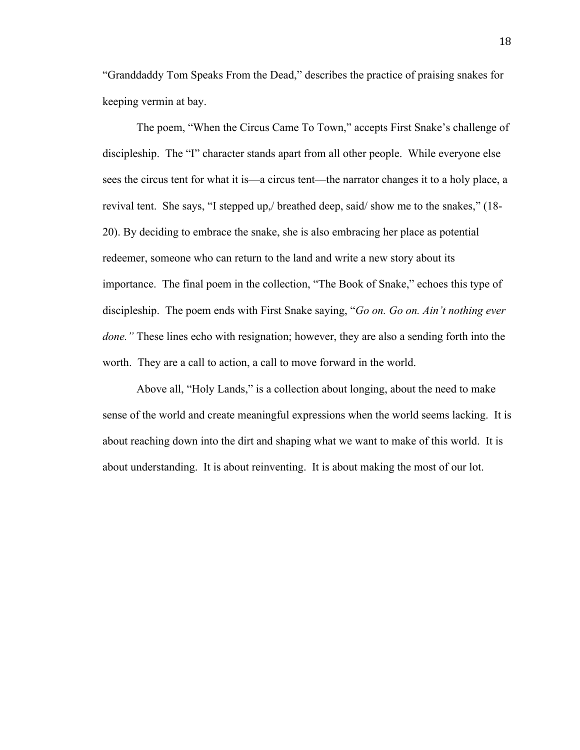"Granddaddy Tom Speaks From the Dead," describes the practice of praising snakes for keeping vermin at bay.

The poem, "When the Circus Came To Town," accepts First Snake's challenge of discipleship. The "I" character stands apart from all other people. While everyone else sees the circus tent for what it is—a circus tent—the narrator changes it to a holy place, a revival tent. She says, "I stepped up,/ breathed deep, said/ show me to the snakes," (18- 20). By deciding to embrace the snake, she is also embracing her place as potential redeemer, someone who can return to the land and write a new story about its importance. The final poem in the collection, "The Book of Snake," echoes this type of discipleship. The poem ends with First Snake saying, "*Go on. Go on. Ain't nothing ever done."* These lines echo with resignation; however, they are also a sending forth into the worth. They are a call to action, a call to move forward in the world.

Above all, "Holy Lands," is a collection about longing, about the need to make sense of the world and create meaningful expressions when the world seems lacking. It is about reaching down into the dirt and shaping what we want to make of this world. It is about understanding. It is about reinventing. It is about making the most of our lot.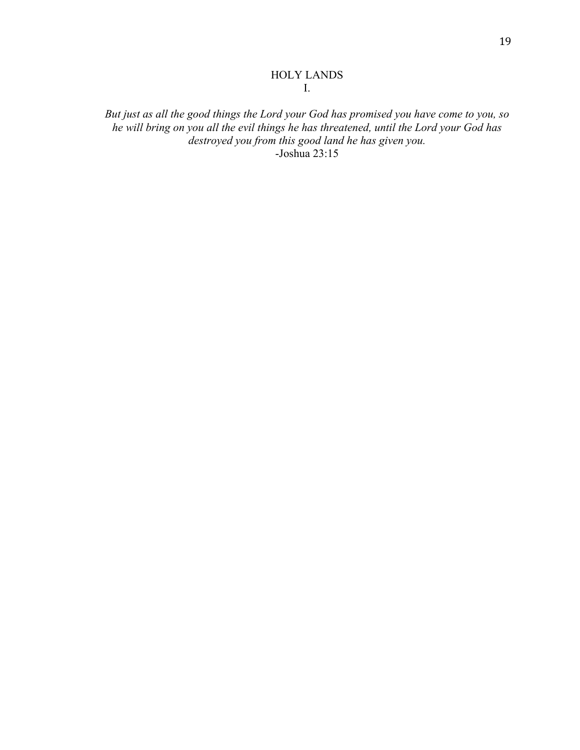## HOLY LANDS I.

*But just as all the good things the Lord your God has promised you have come to you, so he will bring on you all the evil things he has threatened, until the Lord your God has destroyed you from this good land he has given you.* -Joshua 23:15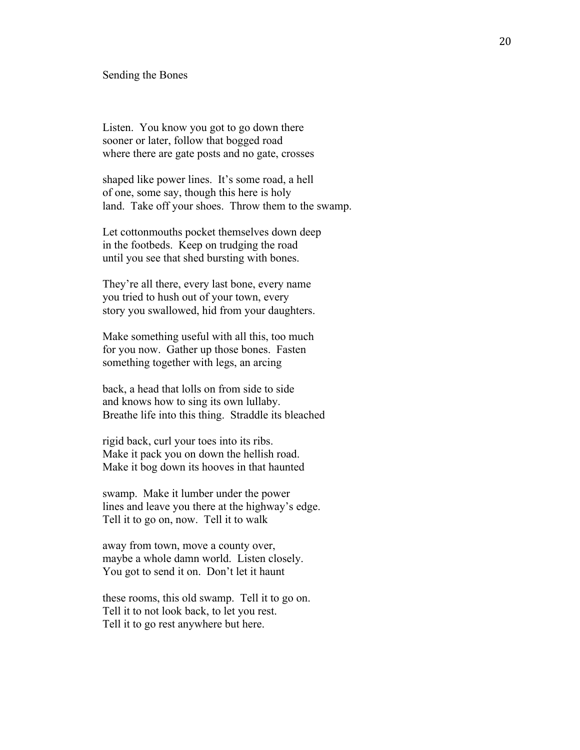#### Sending the Bones

Listen. You know you got to go down there sooner or later, follow that bogged road where there are gate posts and no gate, crosses

shaped like power lines. It's some road, a hell of one, some say, though this here is holy land. Take off your shoes. Throw them to the swamp.

Let cottonmouths pocket themselves down deep in the footbeds. Keep on trudging the road until you see that shed bursting with bones.

They're all there, every last bone, every name you tried to hush out of your town, every story you swallowed, hid from your daughters.

Make something useful with all this, too much for you now. Gather up those bones. Fasten something together with legs, an arcing

back, a head that lolls on from side to side and knows how to sing its own lullaby. Breathe life into this thing. Straddle its bleached

rigid back, curl your toes into its ribs. Make it pack you on down the hellish road. Make it bog down its hooves in that haunted

swamp. Make it lumber under the power lines and leave you there at the highway's edge. Tell it to go on, now. Tell it to walk

away from town, move a county over, maybe a whole damn world. Listen closely. You got to send it on. Don't let it haunt

these rooms, this old swamp. Tell it to go on. Tell it to not look back, to let you rest. Tell it to go rest anywhere but here.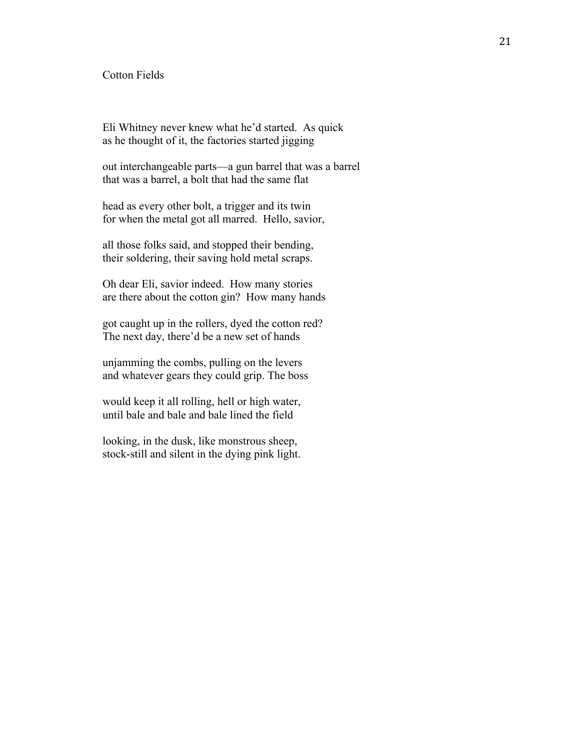## Cotton Fields

Eli Whitney never knew what he'd started. As quick as he thought of it, the factories started jigging

out interchangeable parts—a gun barrel that was a barrel that was a barrel, a bolt that had the same flat

head as every other bolt, a trigger and its twin for when the metal got all marred. Hello, savior,

all those folks said, and stopped their bending, their soldering, their saving hold metal scraps.

Oh dear Eli, savior indeed. How many stories are there about the cotton gin? How many hands

got caught up in the rollers, dyed the cotton red? The next day, there'd be a new set of hands

unjamming the combs, pulling on the levers and whatever gears they could grip. The boss

would keep it all rolling, hell or high water, until bale and bale and bale lined the field

looking, in the dusk, like monstrous sheep, stock-still and silent in the dying pink light.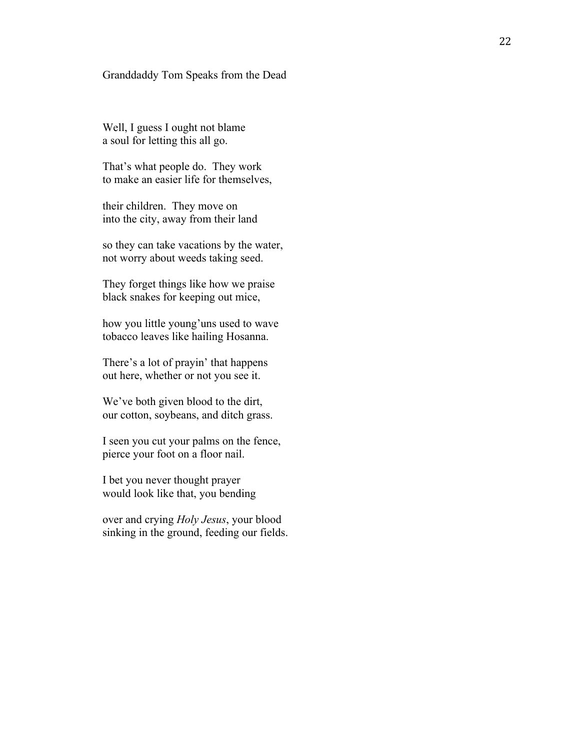### Granddaddy Tom Speaks from the Dead

Well, I guess I ought not blame a soul for letting this all go.

That's what people do. They work to make an easier life for themselves,

their children. They move on into the city, away from their land

so they can take vacations by the water, not worry about weeds taking seed.

They forget things like how we prais e black snakes for keeping out mice,

how you little young'uns used to wave tobacco leaves like hailing Hosanna.

There's a lot of prayin' that happens out here, whether or not you see it.

We've both given blood to the dirt, our cotton, soybeans, and ditch grass.

I seen you cut your palms on the fence, pierce your foot on a floor nail.

I bet you never thought prayer would look like that, you bending

over and crying *Holy Jesus*, your blood sinking in the ground, feeding our fields.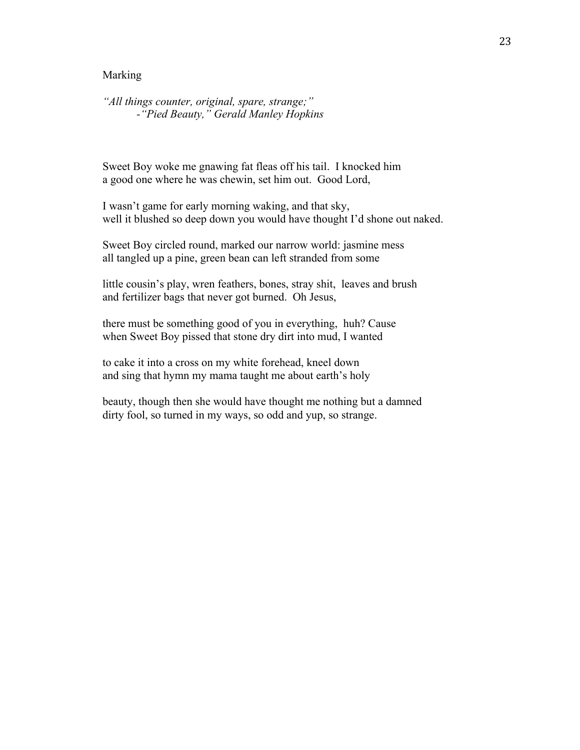### Marking

*"All things counter, original, spare, strange;" -"Pied Beauty," Gerald Manley Hopkins*

Sweet Boy woke me gnawing fat fleas off his tail. I knocked him a good one where he was chewin, set him out. Good Lord,

I wasn't game for early morning waking, and that sky, well it blushed so deep down you would have thought I'd shone out naked.

Sweet Boy circled round, marked our narrow world: jasmine mess all tangled up a pine, green bean can left stranded from some

little cousin's play, wren feathers, bones, stray shit, leaves and brush and fertilizer bags that never got burned. Oh Jesus,

there must be something good of you in everything, huh? Cause when Sweet Boy pissed that stone dry dirt into mud, I wanted

to cake it into a cross on my white forehead, kneel down and sing that hymn my mama taught me about earth's holy

beauty, though then she would have thought me nothing but a damned dirty fool, so turned in my ways, so odd and yup, so strange.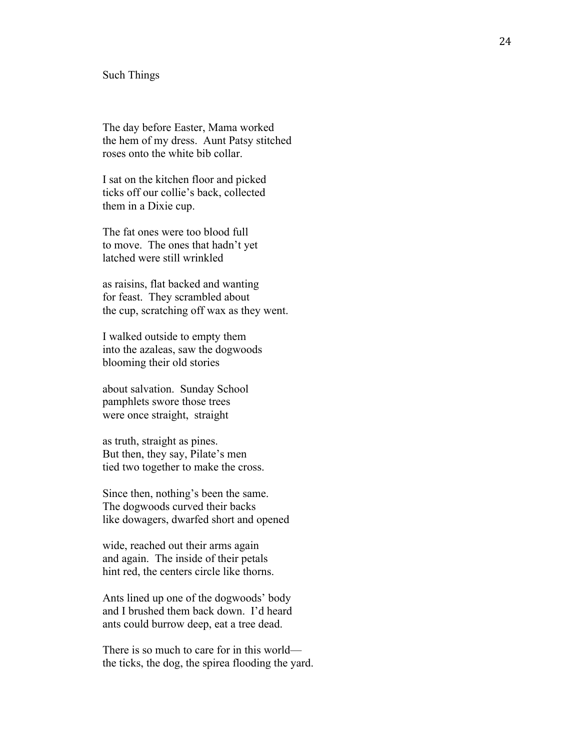#### Such Things

The day before Easter, Mama worked the hem of my dress. Aunt Patsy stitched roses onto the white bib collar.

I sat on the kitchen floor and picked ticks off our collie's back, collected them in a Dixie cup.

The fat ones were too blood full to move. The ones that hadn't yet latched were still wrinkled

as raisins, flat backed and wanting for feast. They scrambled about the cup, scratching off wax as they went.

I walked outside to empty them into the azaleas, saw the dogwoods blooming their old stories

about salvation. Sunday School pamphlets swore those trees were once straight, straight

as truth, straight as pines. But then, they say, Pilate's men tied two together to make the cross.

Since then, nothing's been the same. The dogwoods curved their backs like dowagers, dwarfed short and opened

wide, reached out their arms again and again. The inside of their petals hint red, the centers circle like thorns.

Ants lined up one of the dogwoods' body and I brushed them back down. I'd heard ants could burrow deep, eat a tree dead.

There is so much to care for in this world the ticks, the dog, the spirea flooding the yard.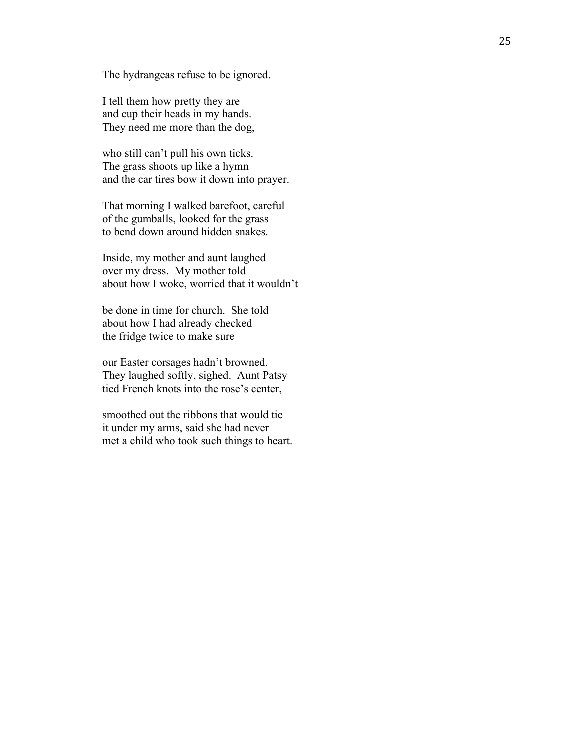The hydrangeas refuse to be ignored.

I tell them how pretty they are and cup their heads in my hands. They need me more than the dog,

who still can't pull his own ticks. The grass shoots up like a hymn and the car tires bow it down into prayer.

That morning I walked barefoot, careful of the gumballs, looked for the grass to bend down around hidden snakes.

Inside, my mother and aunt laughed over my dress. My mother told about how I woke, worried that it wouldn't

be done in time for church. She told about how I had already checked the fridge twice to make sure

our Easter corsages hadn't browned. They laughed softly, sighed. Aunt Patsy tied French knots into the rose's center,

smoothed out the ribbons that would tie it under my arms, said she had never met a child who took such things to heart.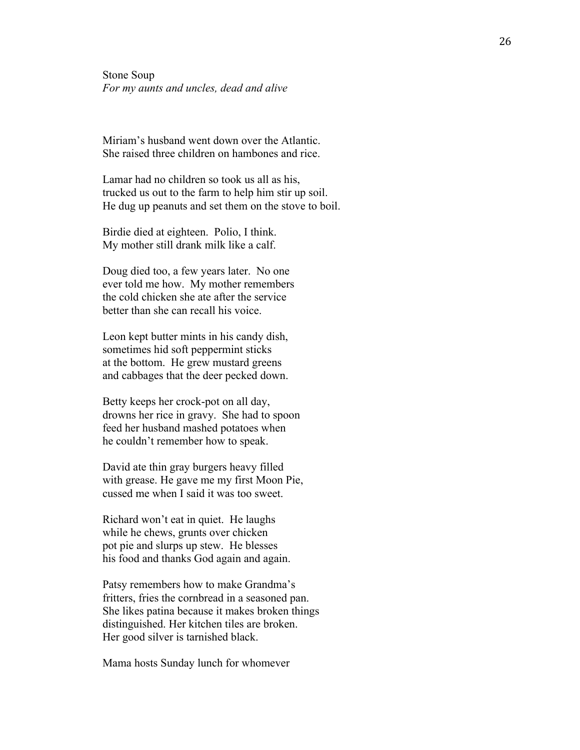Stone Soup *For my aunts and uncles, dead and alive*

Miriam's husband went down over the Atlantic. She raised three children on hambones and rice.

Lamar had no children so took us all as his, trucked us out to the farm to help him stir up soil. He dug up peanuts and set them on the stove to boil.

Birdie died at eighteen. Polio, I think. My mother still drank milk like a calf.

Doug died too, a few years later. No one ever told me how. My mother remembers the cold chicken she ate after the service better than she can recall his voice.

Leon kept butter mints in his candy dish, sometimes hid soft peppermint sticks at the bottom. He grew mustard greens and cabbages that the deer pecked down.

Betty keeps her crock-pot on all day, drowns her rice in gravy. She had to spoon feed her husband mashed potatoes when he couldn't remember how to speak.

David ate thin gray burgers heavy filled with grease. He gave me my first Moon Pie, cussed me when I said it was too sweet.

Richard won't eat in quiet. He laughs while he chews, grunts over chicken pot pie and slurps up stew. He blesses his food and thanks God again and again.

Patsy remembers how to make Grandma's fritters, fries the cornbread in a seasoned pan. She likes patina because it makes broken things distinguished. Her kitchen tiles are broken. Her good silver is tarnished black.

Mama hosts Sunday lunch for whomever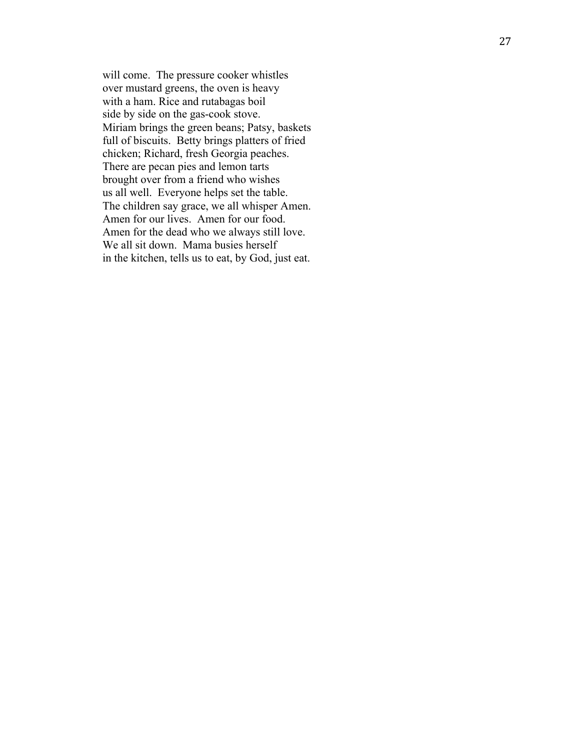will come. The pressure cooker whistles over mustard greens, the oven is heavy with a ham. Rice and rutabagas boil side by side on the gas -cook stove. Miriam brings the green beans; Patsy, baskets full of biscuits. Betty brings platters of fried chicken; Richard, fresh Georgia peaches. There are pecan pies and lemon tarts brought over from a friend who wishes us all well. Everyone helps set the table. The children say grace, we all whisper Amen. Amen for our lives. Amen for our food. Amen for the dead who we always still love. We all sit down. Mama busies herself in the kitchen, tells us to eat, by God, just eat.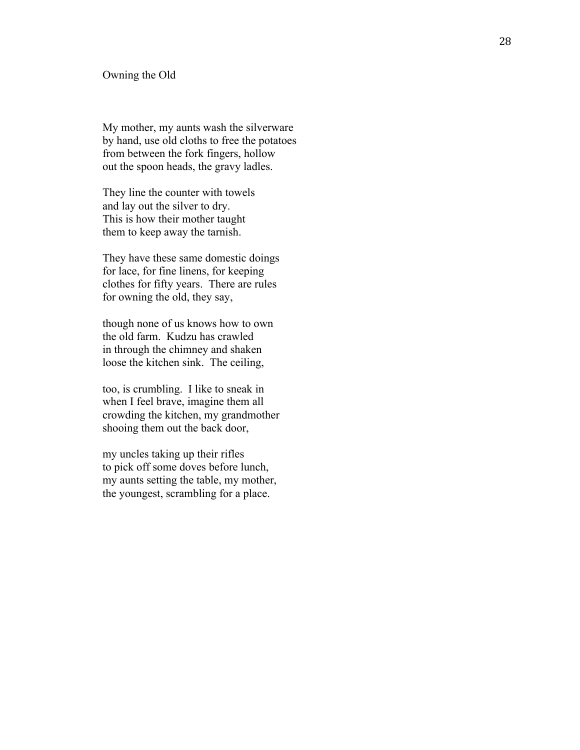#### Owning the Old

My mother, my aunts wash the silverware by hand, use old cloths to free the potatoes from between the fork fingers, hollow out the spoon heads, the gravy ladles.

They line the counter with towels and lay out the silver to dry. This is how their mother taught them to keep away the tarnish.

They have these same domestic doings for lace, for fine linens, for keeping cloth es for fifty years. There are rules for owning the old, they say,

though none of us knows how to own the old farm. Kudzu has crawled in through the chimney and shaken loose the kitchen sink. The ceiling,

too, is crumbling. I like to sneak in when I feel brave, imagine them all crowding the kitchen, my grandmother shooing them out the back door,

my uncles taking up their rifles to pick off some doves before lunch, my aunts setting the table, my mother, the youngest, scrambling for a place.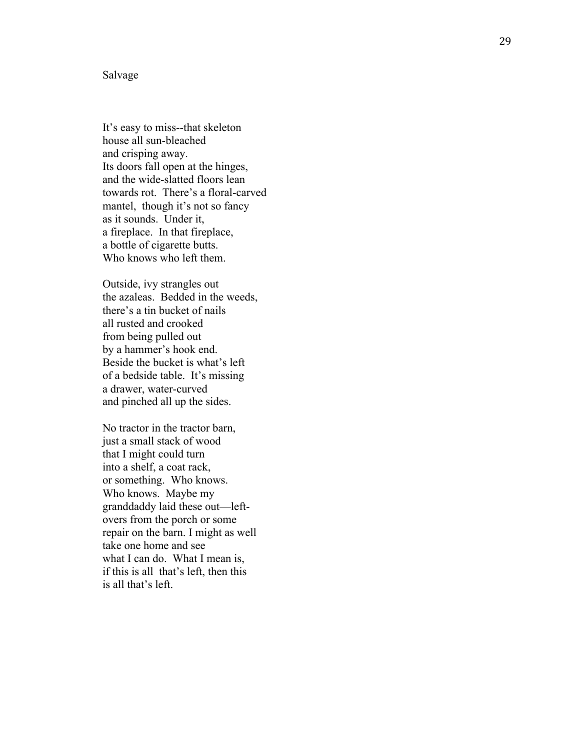#### Salvage

It's easy to miss--that skeleton house all sun -bleached and crisping away. Its doors fall open at the hinges, and the wide -slatted floors lean towards rot. There's a floral -carved mantel, though it's not so fancy as it sounds. Under it, a fireplace. In that fireplace, a bottle of cigarette butts. Who knows who left them.

Outside, ivy strangles out the azaleas. Bedded in the weeds, there's a tin bucket of nails all rusted and crooked from being pulled out by a hammer's hook end. Beside the bucket is what's left of a bedside table. It's missing a drawer, water -curved and pinched all up the sides.

No tractor in the tractor barn, just a small stack of wood that I might could turn into a shelf, a coat rack, or something. Who knows. Who knows. Maybe my granddaddy laid these out—left overs from the porch or some repair on the barn. I might as well take one home and see what I can do. What I mean is, if this is all that's left, then this is all that's left.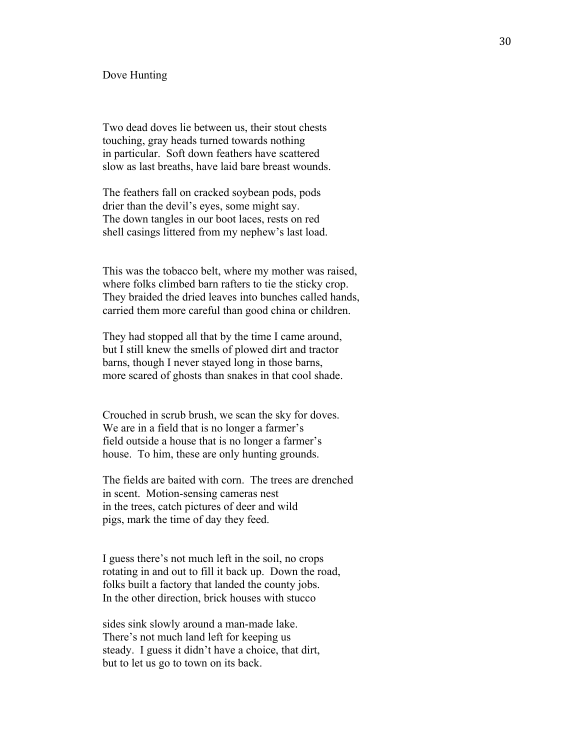#### Dove Hunting

Two dead doves lie between us, their stout chests touching, gray heads turned towards nothing in particular. Soft down feathers have scattered slow as last breaths, have laid bare breast wounds.

The feathers fall on cracked soybean pods, pods drier than the devil's eyes, some might say. The down tangles in our boot laces, rests on red shell casings littered from my nephew's last load.

This was the tobacco belt, where my mother was raised, where folks climbed barn rafters to tie the sticky crop. They braided the dried leaves into bunches called hands, carried them more careful than good china or children.

They had stopped all that by the time I came around, but I still knew the smells of plowed dirt and tractor barns, though I never stayed long in those barns, more scared of ghosts than snakes in that cool shade.

Crouched in scrub brush, we scan the sky for doves. We are in a field that is no longer a farmer's field outside a house that is no longer a farmer's house. To him, these are only hunting grounds.

The fields are baited with corn. The trees are drenched in scent. Motion-sensing cameras nest in the trees, catch pictures of deer and wild pigs, mark the time of day they feed.

I guess there's not much left in the soil, no crops rotating in and out to fill it back up. Down the road, folks built a factory that landed the county jobs. In the other direction, brick houses with stucco

sides sink slowly around a man-made lake. There's not much land left for keeping us steady. I guess it didn't have a choice, that dirt, but to let us go to town on its back.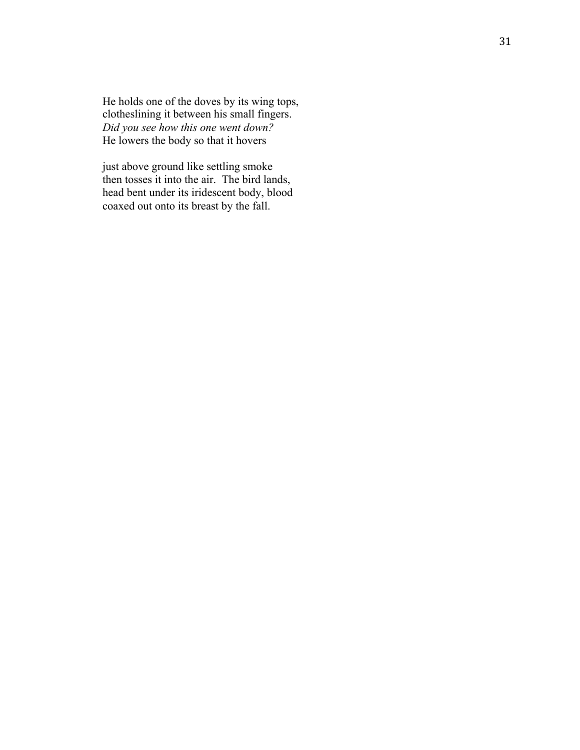He holds one of the doves by its wing tops, clotheslining it between his small fingers. *Did you see how this one went down?* He lowers the body so that it hovers

just above ground like settling smoke then tosses it into the air. The bird lands, head bent under its iridescent body, blood coaxed out onto its breast by the fall.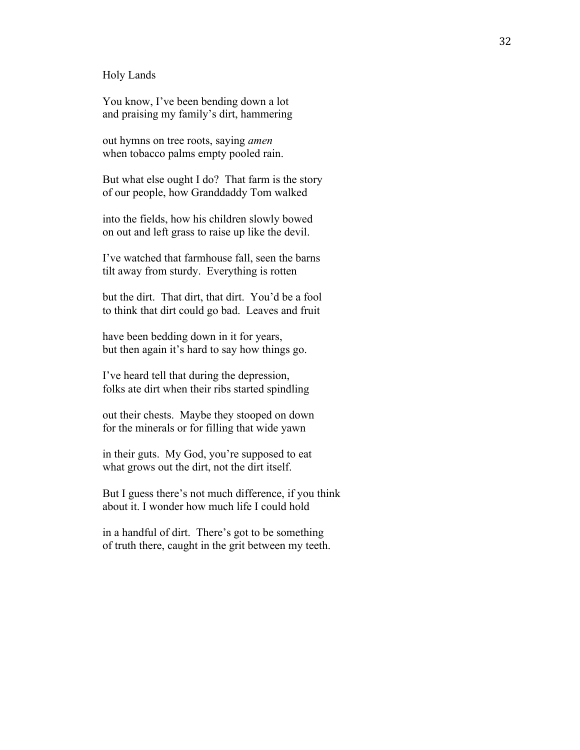Holy Lands

You know, I've been bending down a lot and praising my family's dirt, hammering

out hymns on tree roots, saying *amen* when tobacco palms empty pooled rain.

But what else ought I do? That farm is the story of our people, how Granddaddy Tom walked

into the fields, how his children slowly bowed on out and left grass to raise up like the devil.

I've watched that farmhouse fall, seen the barns tilt away from sturdy. Everything is rotten

but the dirt. That dirt, that dirt. You'd be a fool to think that dirt could go bad. Leaves and fruit

have been bedding down in it for years, but then again it's hard to say how things go.

I've heard tell that during the depression, folks ate dirt when their ribs started spindling

out their chests. Maybe they stooped on down for the minerals or for filling that wide yawn

in their guts. My God, you're supposed to eat what grows out the dirt, not the dirt itself.

But I guess there's not much difference, if you think about it. I wonder how much life I could hold

in a handful of dirt. There's got to be something of truth there, caught in the grit between my teeth.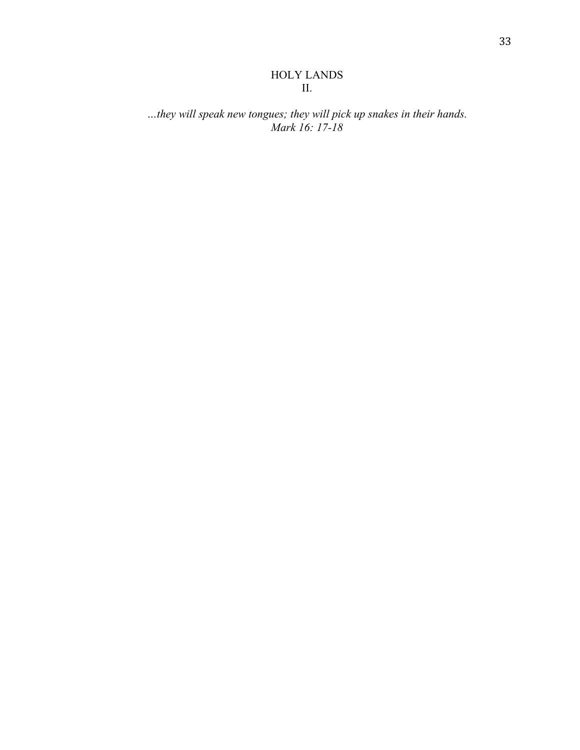## HOLY LANDS II.

## *…they will speak new tongues; they will pick up snakes in their hands. Mark 16: 17-18*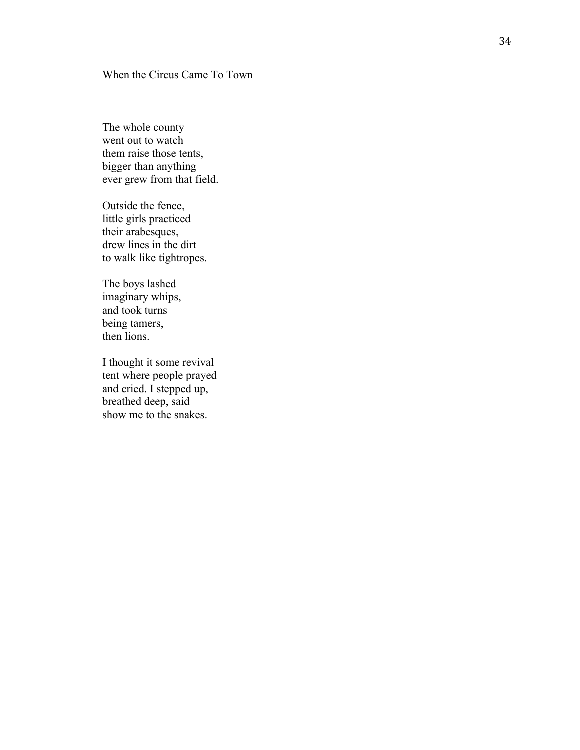## When the Circus Came To Town

The whole county went out to watch them raise those tents, bigger than anything ever grew from that field.

Outside the fence, little girls practiced their arabesques, drew lines in the dirt to walk like tightropes.

The boys lashed imaginary whips, and took turns being tamers, then lions.

I thought it some revival tent where people prayed and cried. I stepped up, breathed deep, said show me to the snakes.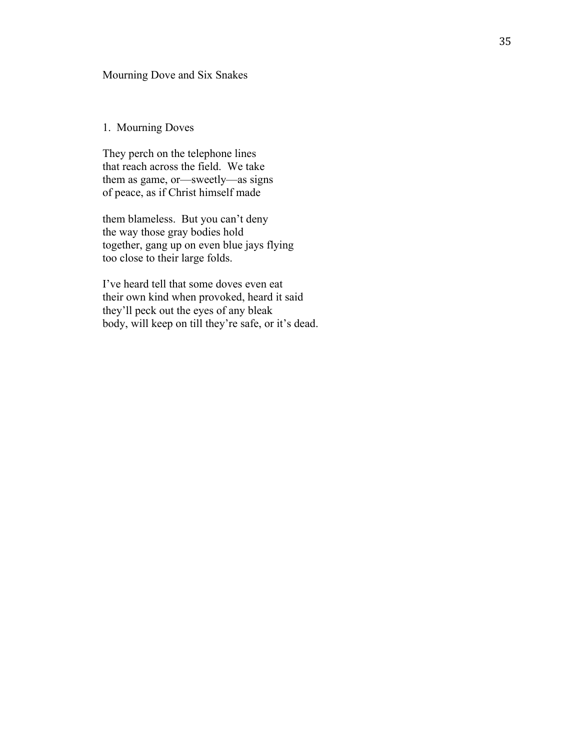## Mourning Dove and Six Snakes

## 1. Mourning Doves

They perch on the telephone lines that reach across the field. We take them as game, or—sweetly—as signs of peace, as if Christ himself made

them blameless. But you can't deny the way those gray bodies hold together, gang up on even blue jays flying too close to their large folds.

I've heard tell that some doves even eat their own kind when provoked, heard it said they'll peck out the eyes of any bleak body, will keep on till they're safe, or it's dead.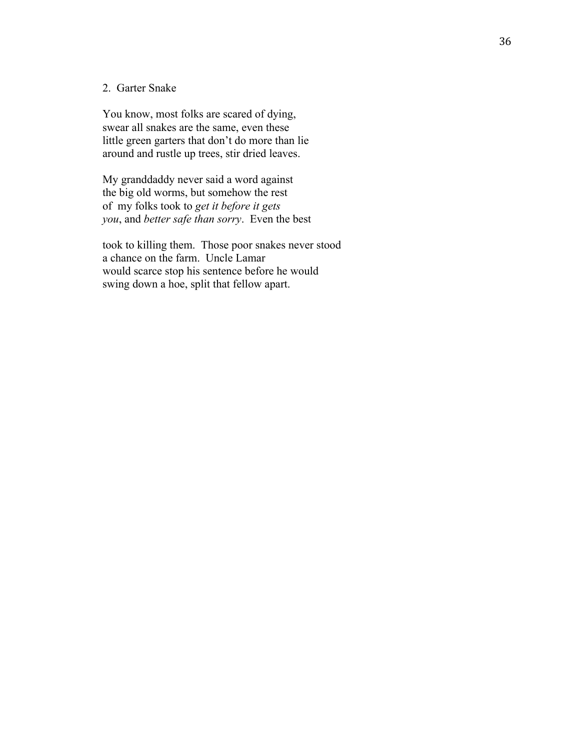#### 2. Garter Snake

You know, most folks are scared of dying, swear all snakes are the same, even these little green garters that don't do more than lie around and rustle up trees, stir dried leaves.

My granddaddy never said a word against the big old worms, but somehow the rest of my folks took to *get it before it gets you*, and *better safe than sorry*. Even the best

took to killing them. Those poor snakes never stood a chance on the farm. Uncle Lamar would scarce stop his sentence before he would swing down a hoe, split that fellow apart.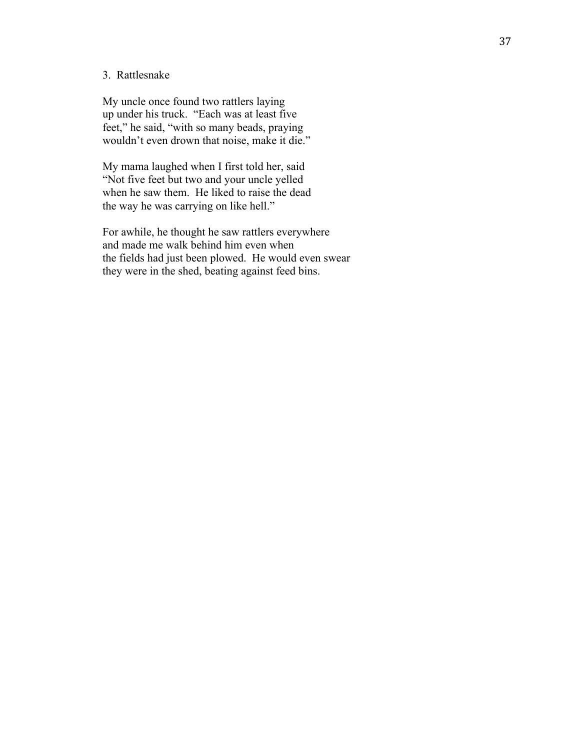## 3. Rattlesnake

My uncle once found two rattlers laying up under his truck. "Each was at least five feet," he said, "with so many beads, praying wouldn't even drown that noise, make it die."

My mama laughed when I first told her, said "Not five feet but two and your uncle yelled when he saw them. He liked to raise the dead the way he was carrying on like hell."

For awhile, he thought he saw rattlers everywhere and made me walk behind him even when the fields had just been plowed. He would even swear they were in the shed, beating against feed bins.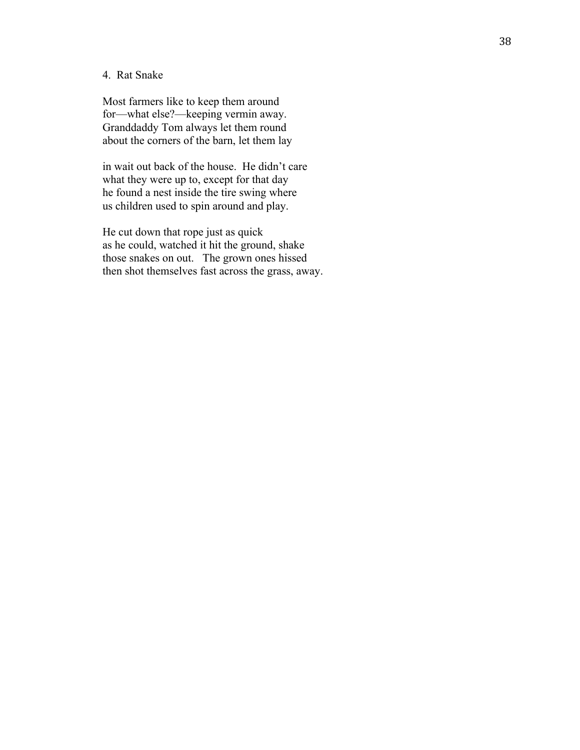## 4. Rat Snake

Most farmers like to keep them around for—what else? —keeping vermin away. Granddaddy Tom always let them round about the corners of the barn, let them lay

in wait out back of the house. He didn't care what they were up to, except for that day he found a nest inside the tire swing where us children used to spin around and play.

He cut down that rope just as quick as he could, watched it hit the ground, shake those snakes on out. The grown ones hissed then shot themselves fast across the grass, away.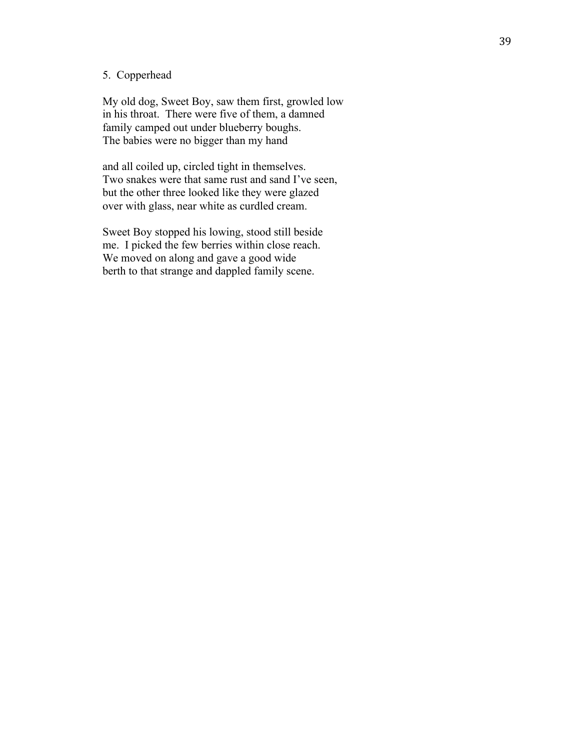## 5. Copperhead

My old dog, Sweet Boy, saw them first, growled low in his throat. There were five of them, a damned family camped out under blueberry boughs. The babies were no bigger than my hand

and all coiled up, circled tight in themselves. Two snakes were that same rust and sand I've seen, but the other three looked like they were glazed over with glass, near white as curdled cream.

Sweet Boy stopped his lowing, stood still beside me. I picked the few berries within close reach. We moved on along and gave a good wide berth to that strange and dappled family scene.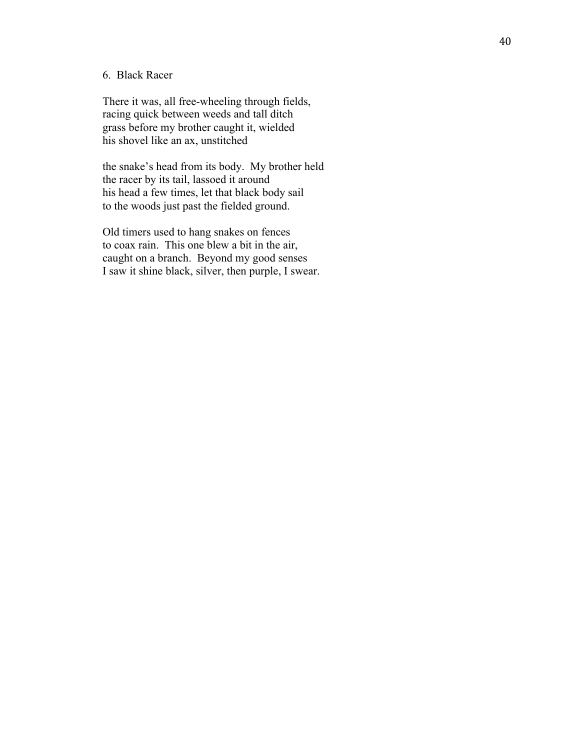## 6. Black Racer

There it was, all free -wheeling through fields, racing quick between weeds and tall ditch grass before my brother caught it, wielded his shovel like an ax, unstitched

the snake's head from its body. My brother held the racer by its tail, lassoed it around his head a few times, let that black body sail to the woods just past the fielded ground.

Old timers used to hang snakes on fences to coax rain. This one blew a bit in the air, caught on a branch. Beyond my good senses I saw it shine black, silver, then purple, I swear.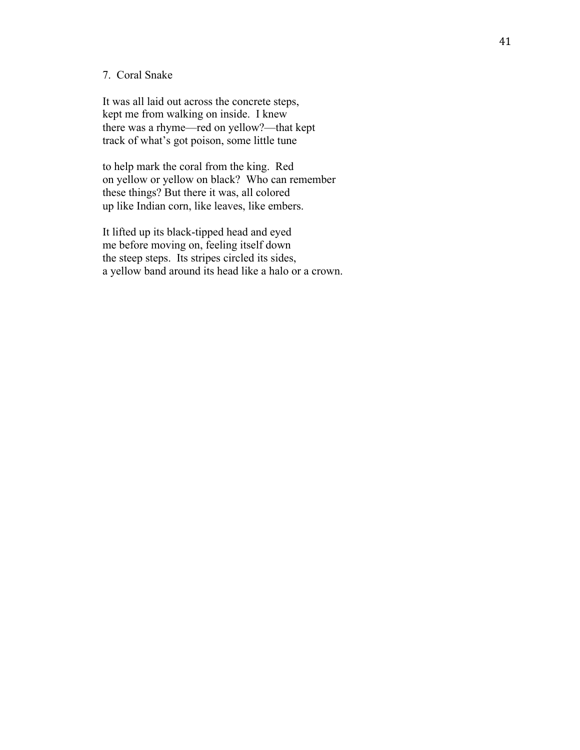## 7. Coral Snake

It was all laid out across the concrete steps, kept me from walking on inside. I knew there was a rhyme—red on yellow?—that kept track of what's got poison, some little tune

to help mark the coral from the king. Red on yellow or yellow on black? Who can remember these things? But there it was, all colored up like Indian corn, like leaves, like embers.

It lifted up its black-tipped head and eyed me before moving on, feeling itself down the steep steps. Its stripes circled its sides, a yellow band around its head like a halo or a crown.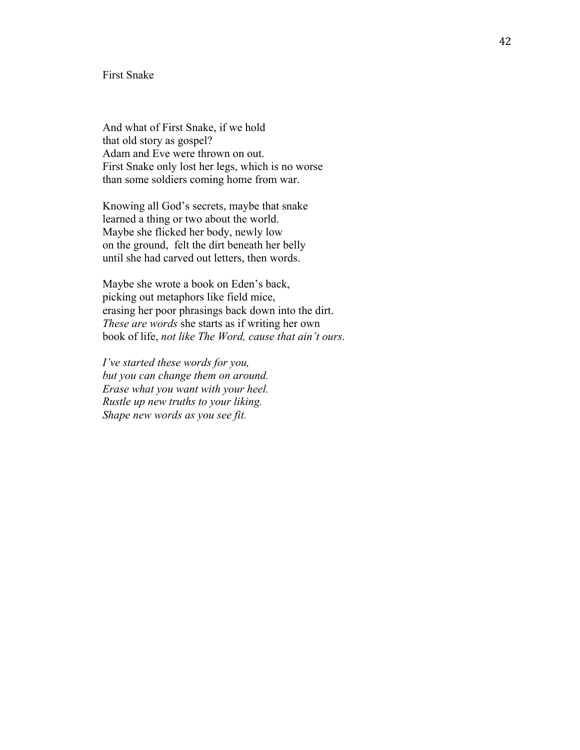### First Snake

And what of First Snake, if we hold that old story as gospel? Adam and Eve were thrown on out. First Snake only lost her legs, which is no worse than some soldiers coming home from war.

Knowing all God's secrets, maybe that snake learned a thing or two about the world. Maybe she flicked her body, newly low on the ground, felt the dirt beneath her belly until she had carved out letters, then words.

Maybe she wrote a book on Eden's back, picking out metaphors like field mice, erasing her poor phrasings back down into the dirt. *These are words* she starts as if writing her own book of life, *not like The Word, cause that ain't ours.*

*I've started these words for you, but you can change them on around. Erase what you want with your heel. Rustle up new truths to your liking. Shape new words as you see fit.*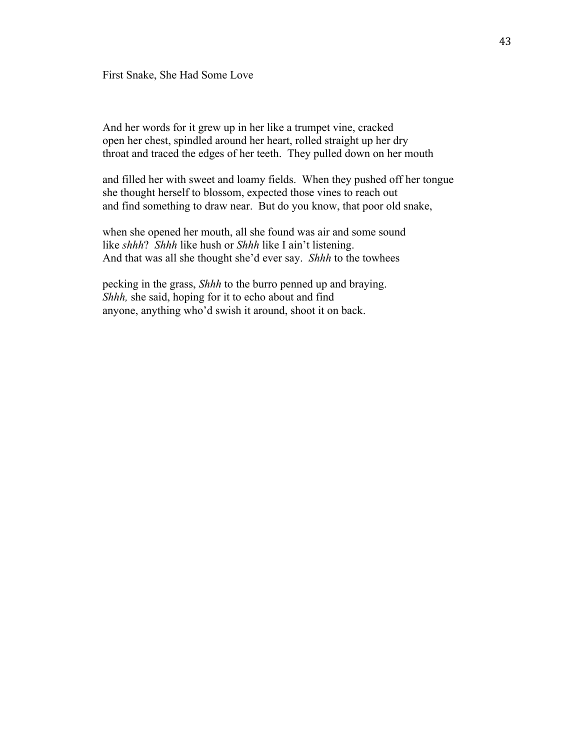First Snake, She Had Some Love

And her words for it grew up in her like a trumpet vine, cracked open her chest, spindled around her heart, rolled straight up her dry throat and traced the edges of her teeth. They pulled down on her mouth

and filled her with sweet and loamy fields. When they pushed off her tongue she thought herself to blossom, expected those vines to reach out and find something to draw near. But do you know, that poor old snake,

when she opened her mouth, all she found was air and some sound like *shhh*? *Shhh* like hush or *Shhh* like I ain't listening. And that was all she thought she'd ever say. *Shhh* to the towhees

pecking in the grass, *Shhh* to the burro penned up and braying. *Shhh,* she said, hoping for it to echo about and find anyone, anything who'd swish it around, shoot it on back.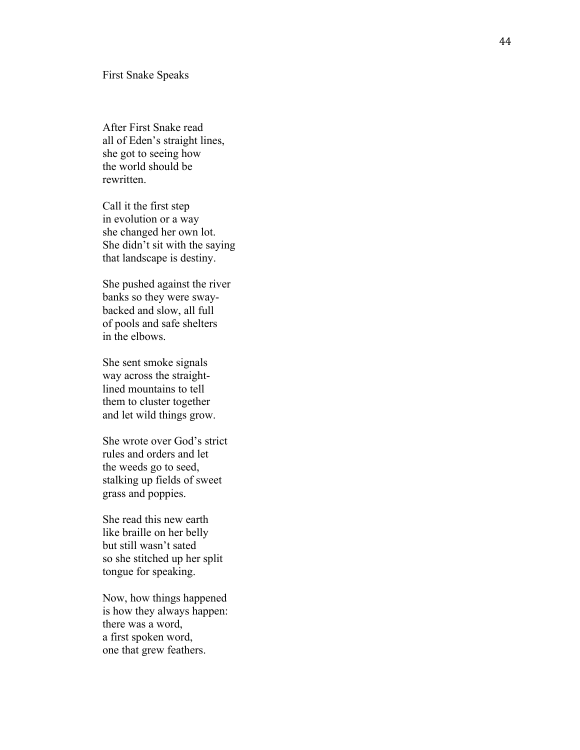After First Snake read all of Eden's straight lines, she got to seeing how the world should be rewritten.

Call it the first step in evolution or a way she changed her own lot. She didn't sit with the saying that landscape is destiny.

She pushed against the river banks so they were sway backed and slow, all full of pools and safe shelters in the elbows.

She sent smoke signals way across the straight lined mountains to tell them to cluster together and let wild things grow.

She wrote over God's strict rules and orders and let the weeds go to seed, stalking up fields of sweet grass and poppies.

She read this new earth like braille on her belly but still wasn't sated so she stitched up her split tongue for speaking.

Now, how things happened is how they always happen: there was a word, a first spoken word, one that grew feathers.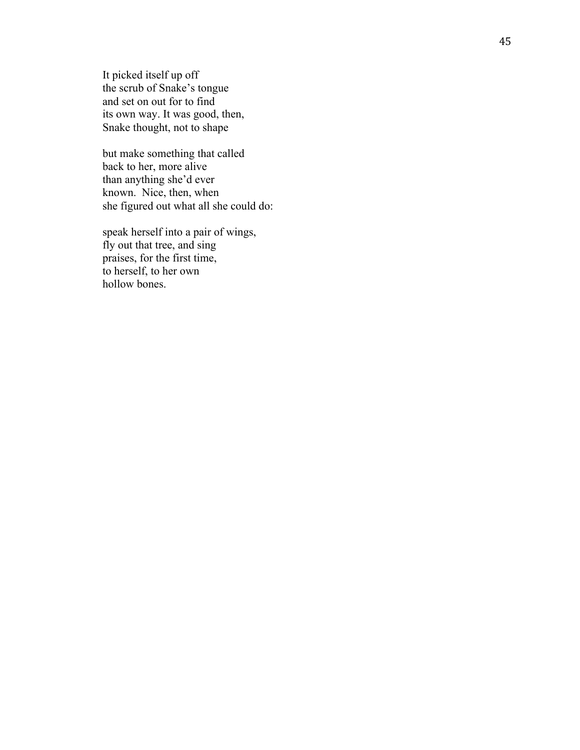It picked itself up off the scrub of Snake's tongue and set on out for to find its own way. It was good, then, Snake thought, not to shape

but make something that called back to her, more alive than anything she'd ever known. Nice, then, when she figured out what all she could do:

speak herself into a pair of wings, fly out that tree, and sing praises, for the first time, to herself, to her own hollow bones.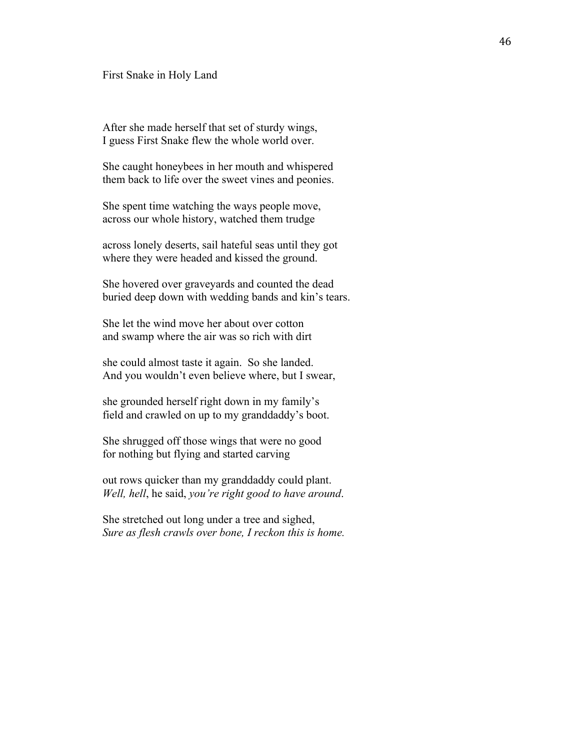#### First Snake in Holy Land

After she made herself that set of sturdy wings, I guess First Snake flew the whole world over.

She caught honeybees in her mouth and whispered them back to life over the sweet vines and peonies.

She spent time watching the ways people move, across our whole history, watched them trudge

across lonely deserts, sail hateful seas until they got where they were headed and kissed the ground.

She hovered over graveyards and counted the dead buried deep down with wedding bands and kin's tears.

She let the wind move her about over cotton and swamp where the air was so rich with dirt

she could almost taste it again. So she landed. And you wouldn't even believe where, but I swear,

she grounded herself right down in my family's field and crawled on up to my granddaddy's boot.

She shrugged off those wings that were no good for nothing but flying and started carving

out rows quicker than my granddaddy could plant. *Well, hell*, he said, *you're right good to have around*.

She stretched out long under a tree and sighed, *Sure as flesh crawls over bone, I reckon this is home.*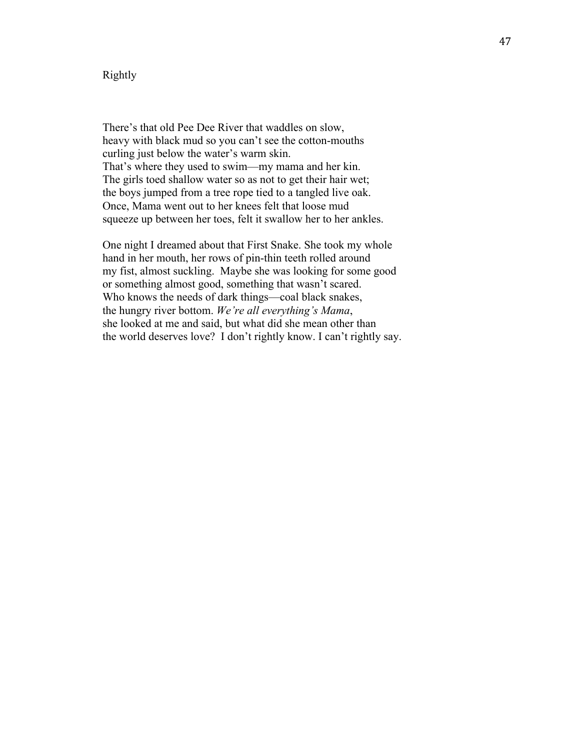### Rightly

There's that old Pee Dee River that waddles on slow, heavy with black mud so you can't see the cotton-mouths curling just below the water's warm skin. That's where they used to swim—my mama and her kin. The girls toed shallow water so as not to get their hair wet; the boys jumped from a tree rope tied to a tangled live oak. Once, Mama went out to her knees felt that loose mud squeeze up between her toes, felt it swallow her to her ankles.

One night I dreamed about that First Snake. She took my whole hand in her mouth, her rows of pin-thin teeth rolled around my fist, almost suckling. Maybe she was looking for some good or something almost good, something that wasn't scared. Who knows the needs of dark things—coal black snakes, the hungry river bottom. *We're all everything's Mama*, she looked at me and said, but what did she mean other than the world deserves love? I don't rightly know. I can't rightly say.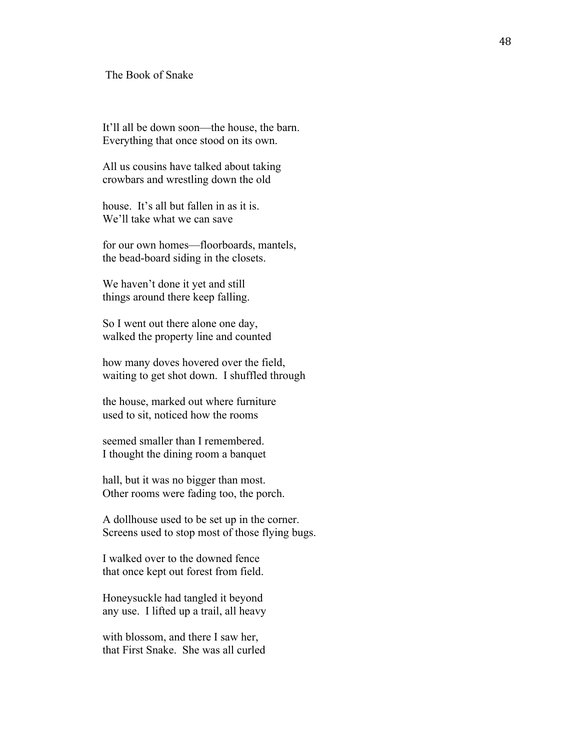#### The Book of Snake

It'll all be down soon—the house, the barn. Everything that once stood on its own.

All us cousins have talked about taking crowbars and wrestling down the old

house. It's all but fallen in as it is. We'll take what we can save

for our own homes—floorboards, mantels, the bead-board siding in the closets.

We haven't done it yet and still things around there keep falling.

So I went out there alone one day, walked the property line and counted

how many doves hovered over the field, waiting to get shot down. I shuffled through

the house, marked out where furniture used to sit, noticed how the rooms

seemed smaller than I remembered. I thought the dining room a banquet

hall, but it was no bigger than most. Other rooms were fading too, the porch.

A dollhouse used to be set up in the corner. Screens used to stop most of those flying bugs.

I walked over to the downed fence that once kept out forest from field.

Honeysuckle had tangled it beyond any use. I lifted up a trail, all heavy

with blossom, and there I saw her, that First Snake. She was all curled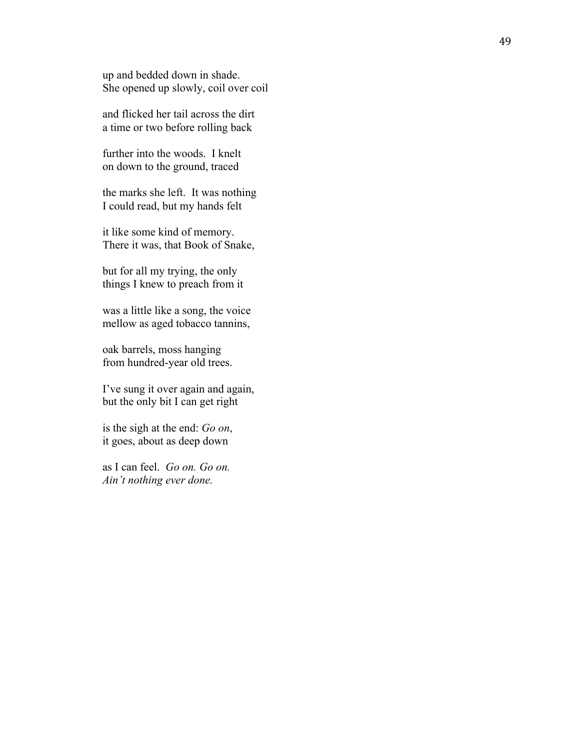up and bedded down in shade. She opened up slowly, coil over coil

and flicked her tail across the dirt a time or two before rolling back

further into the woods. I knelt on down to the ground, traced

the marks she left. It was nothing I could read, but my hands felt

it like some kind of memory. There it was, that Book of Snake,

but for all my trying, the only things I knew to preach from it

was a little like a song, the voice mellow as aged tobacco tannins,

oak barrels, moss hanging from hundred -year old trees.

I've sung it over again and again, but the only bit I can get right

is the sigh at the end: *Go on* , it goes, about as deep down

as I can feel. *Go on. Go on. Ain't nothing ever done.*